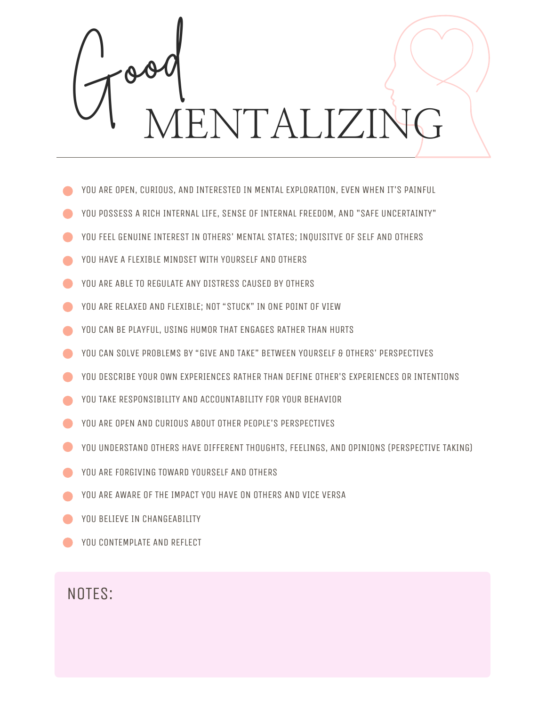

- YOU ARE OPEN, CURIOUS, AND INTERESTED IN MENTAL EXPLORATION, EVEN WHEN IT'S PAINFUL
- YOU POSSESS A RICH INTERNAL LIFE, SENSE OF INTERNAL FREEDOM, AND "SAFE UNCERTAINTY"
- YOU FEEL GENUINE INTEREST IN OTHERS' MENTAL STATES; INQUISITVE OF SELF AND OTHERS
- YOU HAVE A FLEXIBLE MINDSET WITH YOURSELF AND OTHERS
- YOU ARE ABLE TO REGULATE ANY DISTRESS CAUSED BY OTHERS
- YOU ARE RELAXED AND FLEXIBLE: NOT "STUCK" IN ONE POINT OF VIEW
- YOU CAN BE PLAYFUL, USING HUMOR THAT ENGAGES RATHER THAN HURTS
- YOU CAN SOLVE PROBLEMS BY "GIVE AND TAKE" BETWEEN YOURSELF & OTHERS' PERSPECTIVES
- YOU DESCRIBE YOUR OWN EXPERIENCES RATHER THAN DEFINE OTHER'S EXPERIENCES OR INTENTIONS
- YOU TAKE RESPONSIBILITY AND ACCOUNTABILITY FOR YOUR BEHAVIOR
- YOU ARE OPEN AND CURIOUS ABOUT OTHER PEOPLE'S PERSPECTIVES
- YOU UNDERSTAND OTHERS HAVE DIFFERENT THOUGHTS, FEELINGS, AND OPINIONS (PERSPECTIVE TAKING)
- YOU ARE FORGIVING TOWARD YOURSELF AND OTHERS
- YOU ARE AWARE OF THE IMPACT YOU HAVE ON OTHERS AND VICE VERSA
- YOU BELIEVE IN CHANGEABILITY
- YOU CONTEMPLATE AND REFLECT

NOTES: